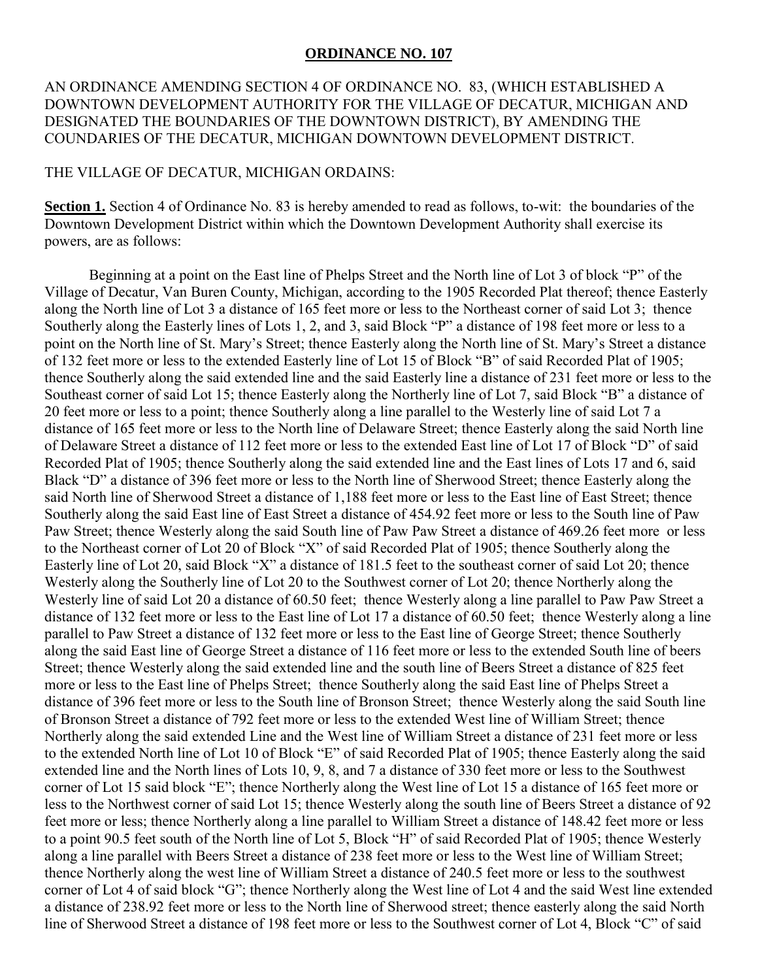## **ORDINANCE NO. 107**

## AN ORDINANCE AMENDING SECTION 4 OF ORDINANCE NO. 83, (WHICH ESTABLISHED A DOWNTOWN DEVELOPMENT AUTHORITY FOR THE VILLAGE OF DECATUR, MICHIGAN AND DESIGNATED THE BOUNDARIES OF THE DOWNTOWN DISTRICT), BY AMENDING THE COUNDARIES OF THE DECATUR, MICHIGAN DOWNTOWN DEVELOPMENT DISTRICT.

## THE VILLAGE OF DECATUR, MICHIGAN ORDAINS:

**Section 1.** Section 4 of Ordinance No. 83 is hereby amended to read as follows, to-wit: the boundaries of the Downtown Development District within which the Downtown Development Authority shall exercise its powers, are as follows:

 Beginning at a point on the East line of Phelps Street and the North line of Lot 3 of block "P" of the Village of Decatur, Van Buren County, Michigan, according to the 1905 Recorded Plat thereof; thence Easterly along the North line of Lot 3 a distance of 165 feet more or less to the Northeast corner of said Lot 3; thence Southerly along the Easterly lines of Lots 1, 2, and 3, said Block "P" a distance of 198 feet more or less to a point on the North line of St. Mary's Street; thence Easterly along the North line of St. Mary's Street a distance of 132 feet more or less to the extended Easterly line of Lot 15 of Block "B" of said Recorded Plat of 1905; thence Southerly along the said extended line and the said Easterly line a distance of 231 feet more or less to the Southeast corner of said Lot 15; thence Easterly along the Northerly line of Lot 7, said Block "B" a distance of 20 feet more or less to a point; thence Southerly along a line parallel to the Westerly line of said Lot 7 a distance of 165 feet more or less to the North line of Delaware Street; thence Easterly along the said North line of Delaware Street a distance of 112 feet more or less to the extended East line of Lot 17 of Block "D" of said Recorded Plat of 1905; thence Southerly along the said extended line and the East lines of Lots 17 and 6, said Black "D" a distance of 396 feet more or less to the North line of Sherwood Street; thence Easterly along the said North line of Sherwood Street a distance of 1,188 feet more or less to the East line of East Street; thence Southerly along the said East line of East Street a distance of 454.92 feet more or less to the South line of Paw Paw Street; thence Westerly along the said South line of Paw Paw Street a distance of 469.26 feet more or less to the Northeast corner of Lot 20 of Block "X" of said Recorded Plat of 1905; thence Southerly along the Easterly line of Lot 20, said Block "X" a distance of 181.5 feet to the southeast corner of said Lot 20; thence Westerly along the Southerly line of Lot 20 to the Southwest corner of Lot 20; thence Northerly along the Westerly line of said Lot 20 a distance of 60.50 feet; thence Westerly along a line parallel to Paw Paw Street a distance of 132 feet more or less to the East line of Lot 17 a distance of 60.50 feet; thence Westerly along a line parallel to Paw Street a distance of 132 feet more or less to the East line of George Street; thence Southerly along the said East line of George Street a distance of 116 feet more or less to the extended South line of beers Street; thence Westerly along the said extended line and the south line of Beers Street a distance of 825 feet more or less to the East line of Phelps Street; thence Southerly along the said East line of Phelps Street a distance of 396 feet more or less to the South line of Bronson Street; thence Westerly along the said South line of Bronson Street a distance of 792 feet more or less to the extended West line of William Street; thence Northerly along the said extended Line and the West line of William Street a distance of 231 feet more or less to the extended North line of Lot 10 of Block "E" of said Recorded Plat of 1905; thence Easterly along the said extended line and the North lines of Lots 10, 9, 8, and 7 a distance of 330 feet more or less to the Southwest corner of Lot 15 said block "E"; thence Northerly along the West line of Lot 15 a distance of 165 feet more or less to the Northwest corner of said Lot 15; thence Westerly along the south line of Beers Street a distance of 92 feet more or less; thence Northerly along a line parallel to William Street a distance of 148.42 feet more or less to a point 90.5 feet south of the North line of Lot 5, Block "H" of said Recorded Plat of 1905; thence Westerly along a line parallel with Beers Street a distance of 238 feet more or less to the West line of William Street; thence Northerly along the west line of William Street a distance of 240.5 feet more or less to the southwest corner of Lot 4 of said block "G"; thence Northerly along the West line of Lot 4 and the said West line extended a distance of 238.92 feet more or less to the North line of Sherwood street; thence easterly along the said North line of Sherwood Street a distance of 198 feet more or less to the Southwest corner of Lot 4, Block "C" of said